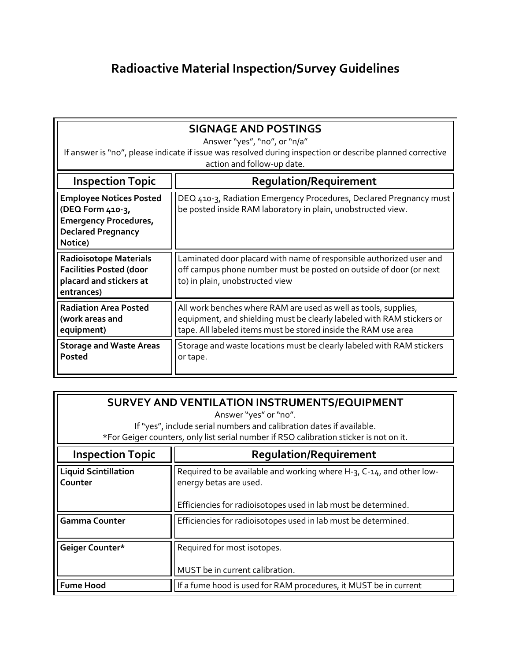## **Radioactive Material Inspection/Survey Guidelines**

| <b>SIGNAGE AND POSTINGS</b><br>Answer "yes", "no", or "n/a"<br>If answer is "no", please indicate if issue was resolved during inspection or describe planned corrective<br>action and follow-up date. |                                                                                                                                                                                                            |
|--------------------------------------------------------------------------------------------------------------------------------------------------------------------------------------------------------|------------------------------------------------------------------------------------------------------------------------------------------------------------------------------------------------------------|
| <b>Inspection Topic</b>                                                                                                                                                                                | <b>Regulation/Requirement</b>                                                                                                                                                                              |
| <b>Employee Notices Posted</b><br>(DEQ Form 410-3,<br><b>Emergency Procedures,</b><br><b>Declared Pregnancy</b><br>Notice)                                                                             | DEQ 410-3, Radiation Emergency Procedures, Declared Pregnancy must<br>be posted inside RAM laboratory in plain, unobstructed view.                                                                         |
| <b>Radioisotope Materials</b><br><b>Facilities Posted (door</b><br>placard and stickers at<br>entrances)                                                                                               | Laminated door placard with name of responsible authorized user and<br>off campus phone number must be posted on outside of door (or next<br>to) in plain, unobstructed view                               |
| <b>Radiation Area Posted</b><br>(work areas and<br>equipment)                                                                                                                                          | All work benches where RAM are used as well as tools, supplies,<br>equipment, and shielding must be clearly labeled with RAM stickers or<br>tape. All labeled items must be stored inside the RAM use area |
| <b>Storage and Waste Areas</b><br>Posted                                                                                                                                                               | Storage and waste locations must be clearly labeled with RAM stickers<br>or tape.                                                                                                                          |

| SURVEY AND VENTILATION INSTRUMENTS/EQUIPMENT<br>Answer "yes" or "no".<br>If "yes", include serial numbers and calibration dates if available.<br>*For Geiger counters, only list serial number if RSO calibration sticker is not on it. |                                                                                                                                                                  |
|-----------------------------------------------------------------------------------------------------------------------------------------------------------------------------------------------------------------------------------------|------------------------------------------------------------------------------------------------------------------------------------------------------------------|
| <b>Inspection Topic</b>                                                                                                                                                                                                                 | <b>Regulation/Requirement</b>                                                                                                                                    |
| <b>Liquid Scintillation</b><br>Counter                                                                                                                                                                                                  | Required to be available and working where H-3, C-14, and other low-<br>energy betas are used.<br>Efficiencies for radioisotopes used in lab must be determined. |
| <b>Gamma Counter</b>                                                                                                                                                                                                                    | Efficiencies for radioisotopes used in lab must be determined.                                                                                                   |
| Geiger Counter*                                                                                                                                                                                                                         | Required for most isotopes.<br>MUST be in current calibration.                                                                                                   |
| <b>Fume Hood</b>                                                                                                                                                                                                                        | If a fume hood is used for RAM procedures, it MUST be in current                                                                                                 |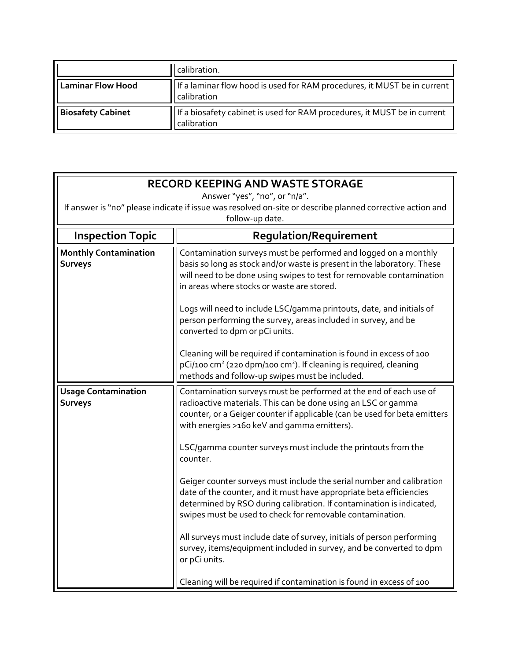|                          | calibration.                                                                            |
|--------------------------|-----------------------------------------------------------------------------------------|
| <b>Laminar Flow Hood</b> | If a laminar flow hood is used for RAM procedures, it MUST be in current<br>calibration |
| <b>Biosafety Cabinet</b> | If a biosafety cabinet is used for RAM procedures, it MUST be in current<br>calibration |

| <b>RECORD KEEPING AND WASTE STORAGE</b>                                                                                      |                                                                                                                                                                                                                                                                                   |
|------------------------------------------------------------------------------------------------------------------------------|-----------------------------------------------------------------------------------------------------------------------------------------------------------------------------------------------------------------------------------------------------------------------------------|
| Answer "yes", "no", or "n/a".                                                                                                |                                                                                                                                                                                                                                                                                   |
| If answer is "no" please indicate if issue was resolved on-site or describe planned corrective action and<br>follow-up date. |                                                                                                                                                                                                                                                                                   |
| <b>Inspection Topic</b><br><b>Regulation/Requirement</b>                                                                     |                                                                                                                                                                                                                                                                                   |
| <b>Monthly Contamination</b>                                                                                                 | Contamination surveys must be performed and logged on a monthly                                                                                                                                                                                                                   |
| <b>Surveys</b>                                                                                                               | basis so long as stock and/or waste is present in the laboratory. These<br>will need to be done using swipes to test for removable contamination<br>in areas where stocks or waste are stored.                                                                                    |
|                                                                                                                              | Logs will need to include LSC/gamma printouts, date, and initials of<br>person performing the survey, areas included in survey, and be<br>converted to dpm or pCi units.                                                                                                          |
|                                                                                                                              | Cleaning will be required if contamination is found in excess of 100<br>$pCi/100$ cm <sup>2</sup> (220 dpm/100 cm <sup>2</sup> ). If cleaning is required, cleaning<br>methods and follow-up swipes must be included.                                                             |
| <b>Usage Contamination</b><br><b>Surveys</b>                                                                                 | Contamination surveys must be performed at the end of each use of<br>radioactive materials. This can be done using an LSC or gamma<br>counter, or a Geiger counter if applicable (can be used for beta emitters<br>with energies >160 keV and gamma emitters).                    |
|                                                                                                                              | LSC/gamma counter surveys must include the printouts from the<br>counter.                                                                                                                                                                                                         |
|                                                                                                                              | Geiger counter surveys must include the serial number and calibration<br>date of the counter, and it must have appropriate beta efficiencies<br>determined by RSO during calibration. If contamination is indicated,<br>swipes must be used to check for removable contamination. |
|                                                                                                                              | All surveys must include date of survey, initials of person performing<br>survey, items/equipment included in survey, and be converted to dpm<br>or pCi units.                                                                                                                    |
|                                                                                                                              | Cleaning will be required if contamination is found in excess of 100                                                                                                                                                                                                              |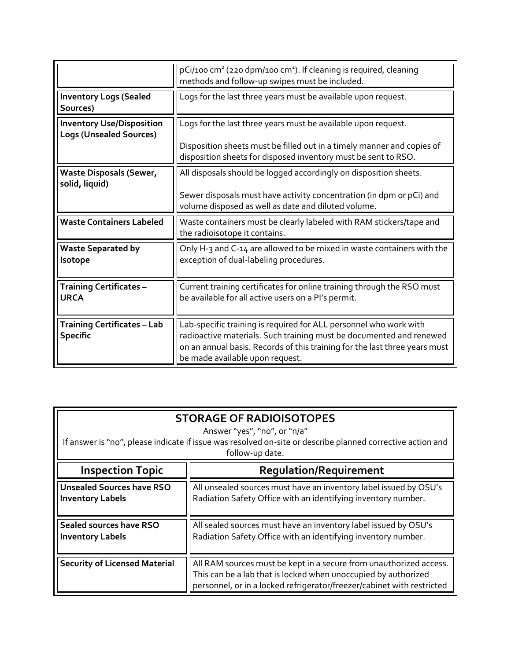|                                                                    | $pCi/100$ cm <sup>2</sup> (220 dpm/100 cm <sup>2</sup> ). If cleaning is required, cleaning<br>methods and follow-up swipes must be included.                                                                                                             |
|--------------------------------------------------------------------|-----------------------------------------------------------------------------------------------------------------------------------------------------------------------------------------------------------------------------------------------------------|
| <b>Inventory Logs (Sealed</b><br>Sources)                          | Logs for the last three years must be available upon request.                                                                                                                                                                                             |
| <b>Inventory Use/Disposition</b><br><b>Logs (Unsealed Sources)</b> | Logs for the last three years must be available upon request.<br>Disposition sheets must be filled out in a timely manner and copies of<br>disposition sheets for disposed inventory must be sent to RSO.                                                 |
| <b>Waste Disposals (Sewer,</b><br>solid, liquid)                   | All disposals should be logged accordingly on disposition sheets.<br>Sewer disposals must have activity concentration (in dpm or pCi) and<br>volume disposed as well as date and diluted volume.                                                          |
| <b>Waste Containers Labeled</b>                                    | Waste containers must be clearly labeled with RAM stickers/tape and<br>the radioisotope it contains.                                                                                                                                                      |
| <b>Waste Separated by</b><br>Isotope                               | Only H-3 and C-14 are allowed to be mixed in waste containers with the<br>exception of dual-labeling procedures.                                                                                                                                          |
| <b>Training Certificates -</b><br><b>URCA</b>                      | Current training certificates for online training through the RSO must<br>be available for all active users on a PI's permit.                                                                                                                             |
| <b>Training Certificates - Lab</b><br><b>Specific</b>              | Lab-specific training is required for ALL personnel who work with<br>radioactive materials. Such training must be documented and renewed<br>on an annual basis. Records of this training for the last three years must<br>be made available upon request. |

| <b>STORAGE OF RADIOISOTOPES</b><br>Answer "yes", "no", or "n/a"<br>If answer is "no", please indicate if issue was resolved on-site or describe planned corrective action and<br>follow-up date. |                                                                                                                                                                                                                |
|--------------------------------------------------------------------------------------------------------------------------------------------------------------------------------------------------|----------------------------------------------------------------------------------------------------------------------------------------------------------------------------------------------------------------|
| <b>Inspection Topic</b>                                                                                                                                                                          | <b>Requlation/Requirement</b>                                                                                                                                                                                  |
| <b>Unsealed Sources have RSO</b><br><b>Inventory Labels</b>                                                                                                                                      | All unsealed sources must have an inventory label issued by OSU's<br>Radiation Safety Office with an identifying inventory number.                                                                             |
| <b>Sealed sources have RSO</b><br><b>Inventory Labels</b>                                                                                                                                        | All sealed sources must have an inventory label issued by OSU's<br>Radiation Safety Office with an identifying inventory number.                                                                               |
| <b>Security of Licensed Material</b>                                                                                                                                                             | All RAM sources must be kept in a secure from unauthorized access.<br>This can be a lab that is locked when unoccupied by authorized<br>personnel, or in a locked refrigerator/freezer/cabinet with restricted |